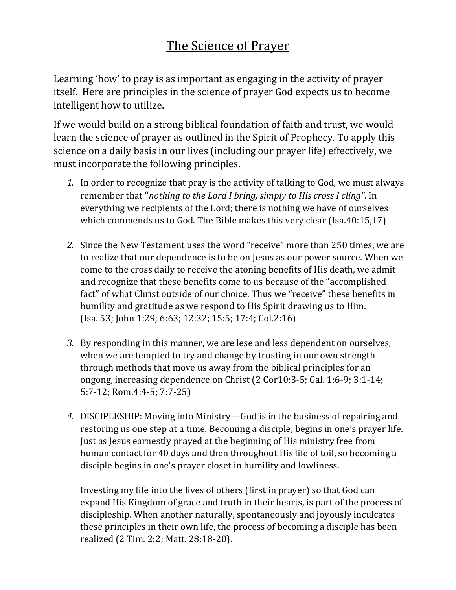# The Science of Prayer

Learning 'how' to pray is as important as engaging in the activity of prayer itself. Here are principles in the science of prayer God expects us to become intelligent how to utilize.

If we would build on a strong biblical foundation of faith and trust, we would learn the science of prayer as outlined in the Spirit of Prophecy. To apply this science on a daily basis in our lives (including our prayer life) effectively, we must incorporate the following principles.

- *1.* In order to recognize that pray is the activity of talking to God, we must always remember that "*nothing to the Lord I bring, simply to His cross I cling"*. In everything we recipients of the Lord; there is nothing we have of ourselves which commends us to God. The Bible makes this very clear (Isa.40:15,17)
- *2.* Since the New Testament uses the word "receive" more than 250 times, we are to realize that our dependence is to be on Jesus as our power source. When we come to the cross daily to receive the atoning benefits of His death, we admit and recognize that these benefits come to us because of the "accomplished fact" of what Christ outside of our choice. Thus we "receive" these benefits in humility and gratitude as we respond to His Spirit drawing us to Him. (Isa. 53; John 1:29; 6:63; 12:32; 15:5; 17:4; Col.2:16)
- *3.* By responding in this manner, we are lese and less dependent on ourselves, when we are tempted to try and change by trusting in our own strength through methods that move us away from the biblical principles for an ongong, increasing dependence on Christ (2 Cor10:3-5; Gal. 1:6-9; 3:1-14; 5:7-12; Rom.4:4-5; 7:7-25)
- *4.* DISCIPLESHIP: Moving into Ministry—God is in the business of repairing and restoring us one step at a time. Becoming a disciple, begins in one's prayer life. Just as Jesus earnestly prayed at the beginning of His ministry free from human contact for 40 days and then throughout His life of toil, so becoming a disciple begins in one's prayer closet in humility and lowliness.

Investing my life into the lives of others (first in prayer) so that God can expand His Kingdom of grace and truth in their hearts, is part of the process of discipleship. When another naturally, spontaneously and joyously inculcates these principles in their own life, the process of becoming a disciple has been realized (2 Tim. 2:2; Matt. 28:18-20).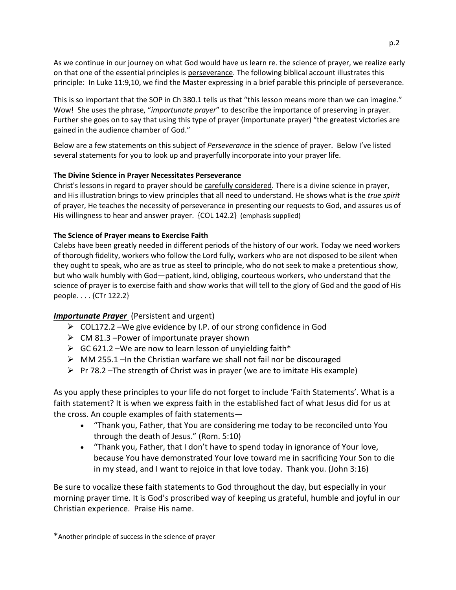As we continue in our journey on what God would have us learn re. the science of prayer, we realize early on that one of the essential principles is perseverance. The following biblical account illustrates this principle: In Luke 11:9,10, we find the Master expressing in a brief parable this principle of perseverance.

This is so important that the SOP in Ch 380.1 tells us that "this lesson means more than we can imagine." Wow! She uses the phrase, "*importunate prayer*" to describe the importance of preserving in prayer. Further she goes on to say that using this type of prayer (importunate prayer) "the greatest victories are gained in the audience chamber of God."

Below are a few statements on this subject of *Perseverance* in the science of prayer. Below I've listed several statements for you to look up and prayerfully incorporate into your prayer life.

## **The Divine Science in Prayer Necessitates Perseverance**

Christ's lessons in regard to prayer should be carefully considered. There is a divine science in prayer, and His illustration brings to view principles that all need to understand. He shows what is the *true spirit* of prayer, He teaches the necessity of perseverance in presenting our requests to God, and assures us of His willingness to hear and answer prayer. {COL 142.2} (emphasis supplied)

## **The Science of Prayer means to Exercise Faith**

Calebs have been greatly needed in different periods of the history of our work. Today we need workers of thorough fidelity, workers who follow the Lord fully, workers who are not disposed to be silent when they ought to speak, who are as true as steel to principle, who do not seek to make a pretentious show, but who walk humbly with God—patient, kind, obliging, courteous workers, who understand that the science of prayer is to exercise faith and show works that will tell to the glory of God and the good of His people. . . . {CTr 122.2}

## *Importunate Prayer* (Persistent and urgent)

- ➢ COL172.2 –We give evidence by I.P. of our strong confidence in God
- $\triangleright$  CM 81.3 –Power of importunate prayer shown
- $\triangleright$  GC 621.2 We are now to learn lesson of unvielding faith\*
- ➢ MM 255.1 –In the Christian warfare we shall not fail nor be discouraged
- $\triangleright$  Pr 78.2 –The strength of Christ was in prayer (we are to imitate His example)

As you apply these principles to your life do not forget to include 'Faith Statements'. What is a faith statement? It is when we express faith in the established fact of what Jesus did for us at the cross. An couple examples of faith statements—

- "Thank you, Father, that You are considering me today to be reconciled unto You through the death of Jesus." (Rom. 5:10)
- "Thank you, Father, that I don't have to spend today in ignorance of Your love, because You have demonstrated Your love toward me in sacrificing Your Son to die in my stead, and I want to rejoice in that love today. Thank you. (John 3:16)

Be sure to vocalize these faith statements to God throughout the day, but especially in your morning prayer time. It is God's proscribed way of keeping us grateful, humble and joyful in our Christian experience. Praise His name.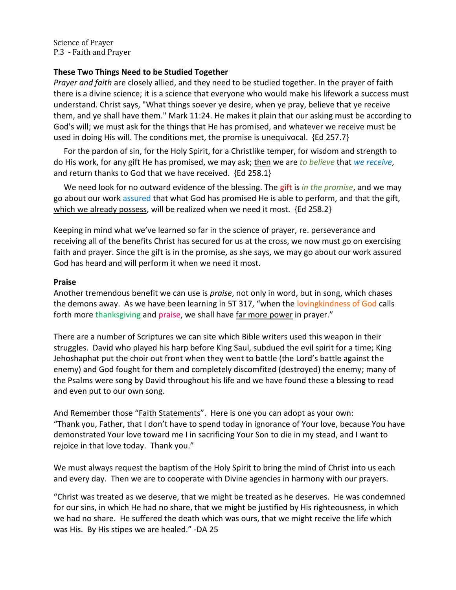Science of Prayer P.3 - Faith and Prayer

# **These Two Things Need to be Studied Together**

*Prayer and faith* are closely allied, and they need to be studied together. In the prayer of faith there is a divine science; it is a science that everyone who would make his lifework a success must understand. Christ says, "What things soever ye desire, when ye pray, believe that ye receive them, and ye shall have them." Mark 11:24. He makes it plain that our asking must be according to God's will; we must ask for the things that He has promised, and whatever we receive must be used in doing His will. The conditions met, the promise is unequivocal. {Ed 257.7}

 For the pardon of sin, for the Holy Spirit, for a Christlike temper, for wisdom and strength to do His work, for any gift He has promised, we may ask; then we are *to believe* that *we receive*, and return thanks to God that we have received. {Ed 258.1}

 We need look for no outward evidence of the blessing. The gift is *in the promise*, and we may go about our work assured that what God has promised He is able to perform, and that the gift, which we already possess, will be realized when we need it most. {Ed 258.2}

Keeping in mind what we've learned so far in the science of prayer, re. perseverance and receiving all of the benefits Christ has secured for us at the cross, we now must go on exercising faith and prayer. Since the gift is in the promise, as she says, we may go about our work assured God has heard and will perform it when we need it most.

## **Praise**

Another tremendous benefit we can use is *praise*, not only in word, but in song, which chases the demons away. As we have been learning in 5T 317, "when the lovingkindness of God calls forth more thanksgiving and praise, we shall have far more power in prayer."

There are a number of Scriptures we can site which Bible writers used this weapon in their struggles. David who played his harp before King Saul, subdued the evil spirit for a time; King Jehoshaphat put the choir out front when they went to battle (the Lord's battle against the enemy) and God fought for them and completely discomfited (destroyed) the enemy; many of the Psalms were song by David throughout his life and we have found these a blessing to read and even put to our own song.

And Remember those "Faith Statements". Here is one you can adopt as your own: "Thank you, Father, that I don't have to spend today in ignorance of Your love, because You have demonstrated Your love toward me I in sacrificing Your Son to die in my stead, and I want to rejoice in that love today. Thank you."

We must always request the baptism of the Holy Spirit to bring the mind of Christ into us each and every day. Then we are to cooperate with Divine agencies in harmony with our prayers.

"Christ was treated as we deserve, that we might be treated as he deserves. He was condemned for our sins, in which He had no share, that we might be justified by His righteousness, in which we had no share. He suffered the death which was ours, that we might receive the life which was His. By His stipes we are healed." -DA 25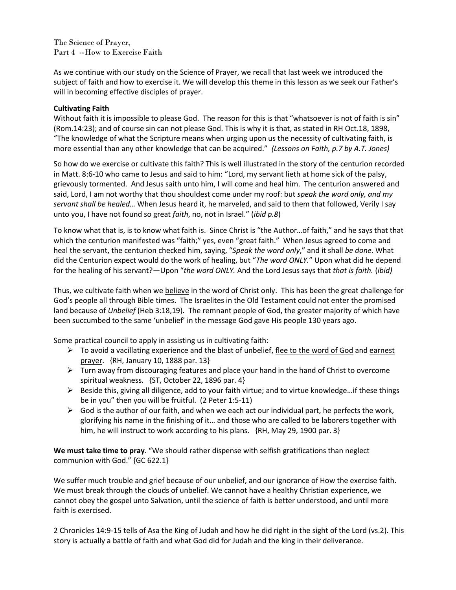The Science of Prayer, Part 4 --How to Exercise Faith

As we continue with our study on the Science of Prayer, we recall that last week we introduced the subject of faith and how to exercise it. We will develop this theme in this lesson as we seek our Father's will in becoming effective disciples of prayer.

## **Cultivating Faith**

Without faith it is impossible to please God. The reason for this is that "whatsoever is not of faith is sin" (Rom.14:23); and of course sin can not please God. This is why it is that, as stated in RH Oct.18, 1898, "The knowledge of what the Scripture means when urging upon us the necessity of cultivating faith, is more essential than any other knowledge that can be acquired." *(Lessons on Faith, p.7 by A.T. Jones)*

So how do we exercise or cultivate this faith? This is well illustrated in the story of the centurion recorded in Matt. 8:6-10 who came to Jesus and said to him: "Lord, my servant lieth at home sick of the palsy, grievously tormented. And Jesus saith unto him, I will come and heal him. The centurion answered and said, Lord, I am not worthy that thou shouldest come under my roof: but *speak the word only, and my servant shall be healed…* When Jesus heard it, he marveled, and said to them that followed, Verily I say unto you, I have not found so great *faith*, no, not in Israel." (*ibid p.8*)

To know what that is, is to know what faith is. Since Christ is "the Author…of faith," and he says that that which the centurion manifested was "faith;" yes, even "great faith." When Jesus agreed to come and heal the servant, the centurion checked him, saying, "*Speak the word only*," and it shall *be done*. What did the Centurion expect would do the work of healing, but "*The word ONLY.*" Upon what did he depend for the healing of his servant?—Upon "*the word ONLY.* And the Lord Jesus says that *that is faith.* (*ibid)*

Thus, we cultivate faith when we believe in the word of Christ only. This has been the great challenge for God's people all through Bible times. The Israelites in the Old Testament could not enter the promised land because of *Unbelief* (Heb 3:18,19). The remnant people of God, the greater majority of which have been succumbed to the same 'unbelief' in the message God gave His people 130 years ago.

Some practical council to apply in assisting us in cultivating faith:

- $\triangleright$  To avoid a vacillating experience and the blast of unbelief, flee to the word of God and earnest prayer. {RH, January 10, 1888 par. 13}
- $\triangleright$  Turn away from discouraging features and place your hand in the hand of Christ to overcome spiritual weakness. {ST, October 22, 1896 par. 4}
- $\triangleright$  Beside this, giving all diligence, add to your faith virtue; and to virtue knowledge... if these things be in you" then you will be fruitful. (2 Peter 1:5-11)
- $\triangleright$  God is the author of our faith, and when we each act our individual part, he perfects the work, glorifying his name in the finishing of it… and those who are called to be laborers together with him, he will instruct to work according to his plans. {RH, May 29, 1900 par. 3}

**We must take time to pray**. "We should rather dispense with selfish gratifications than neglect communion with God." {GC 622.1}

We suffer much trouble and grief because of our unbelief, and our ignorance of How the exercise faith. We must break through the clouds of unbelief. We cannot have a healthy Christian experience, we cannot obey the gospel unto Salvation, until the science of faith is better understood, and until more faith is exercised.

2 Chronicles 14:9-15 tells of Asa the King of Judah and how he did right in the sight of the Lord (vs.2). This story is actually a battle of faith and what God did for Judah and the king in their deliverance.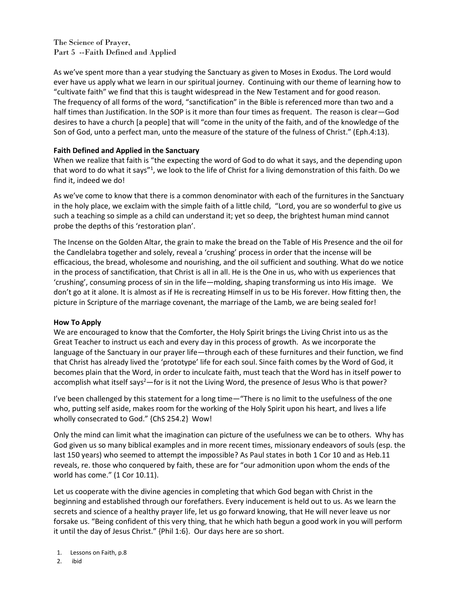The Science of Prayer, Part 5 --Faith Defined and Applied

As we've spent more than a year studying the Sanctuary as given to Moses in Exodus. The Lord would ever have us apply what we learn in our spiritual journey. Continuing with our theme of learning how to "cultivate faith" we find that this is taught widespread in the New Testament and for good reason. The frequency of all forms of the word, "sanctification" in the Bible is referenced more than two and a half times than Justification. In the SOP is it more than four times as frequent. The reason is clear—God desires to have a church [a people] that will "come in the unity of the faith, and of the knowledge of the Son of God, unto a perfect man, unto the measure of the stature of the fulness of Christ." (Eph.4:13).

## **Faith Defined and Applied in the Sanctuary**

When we realize that faith is "the expecting the word of God to do what it says, and the depending upon that word to do what it says"<sup>1</sup>, we look to the life of Christ for a living demonstration of this faith. Do we find it, indeed we do!

As we've come to know that there is a common denominator with each of the furnitures in the Sanctuary in the holy place, we exclaim with the simple faith of a little child, "Lord, you are so wonderful to give us such a teaching so simple as a child can understand it; yet so deep, the brightest human mind cannot probe the depths of this 'restoration plan'.

The Incense on the Golden Altar, the grain to make the bread on the Table of His Presence and the oil for the Candlelabra together and solely, reveal a 'crushing' process in order that the incense will be efficacious, the bread, wholesome and nourishing, and the oil sufficient and southing. What do we notice in the process of sanctification, that Christ is all in all. He is the One in us, who with us experiences that 'crushing', consuming process of sin in the life—molding, shaping transforming us into His image. We don't go at it alone. It is almost as if He is recreating Himself in us to be His forever. How fitting then, the picture in Scripture of the marriage covenant, the marriage of the Lamb, we are being sealed for!

## **How To Apply**

We are encouraged to know that the Comforter, the Holy Spirit brings the Living Christ into us as the Great Teacher to instruct us each and every day in this process of growth. As we incorporate the language of the Sanctuary in our prayer life—through each of these furnitures and their function, we find that Christ has already lived the 'prototype' life for each soul. Since faith comes by the Word of God, it becomes plain that the Word, in order to inculcate faith, must teach that the Word has in itself power to accomplish what itself says<sup>2</sup>—for is it not the Living Word, the presence of Jesus Who is that power?

I've been challenged by this statement for a long time—"There is no limit to the usefulness of the one who, putting self aside, makes room for the working of the Holy Spirit upon his heart, and lives a life wholly consecrated to God." {ChS 254.2} Wow!

Only the mind can limit what the imagination can picture of the usefulness we can be to others. Why has God given us so many biblical examples and in more recent times, missionary endeavors of souls (esp. the last 150 years) who seemed to attempt the impossible? As Paul states in both 1 Cor 10 and as Heb.11 reveals, re. those who conquered by faith, these are for "our admonition upon whom the ends of the world has come." (1 Cor 10.11).

Let us cooperate with the divine agencies in completing that which God began with Christ in the beginning and established through our forefathers. Every inducement is held out to us. As we learn the secrets and science of a healthy prayer life, let us go forward knowing, that He will never leave us nor forsake us. "Being confident of this very thing, that he which hath begun a good work in you will perform it until the day of Jesus Christ." {Phil 1:6}. Our days here are so short.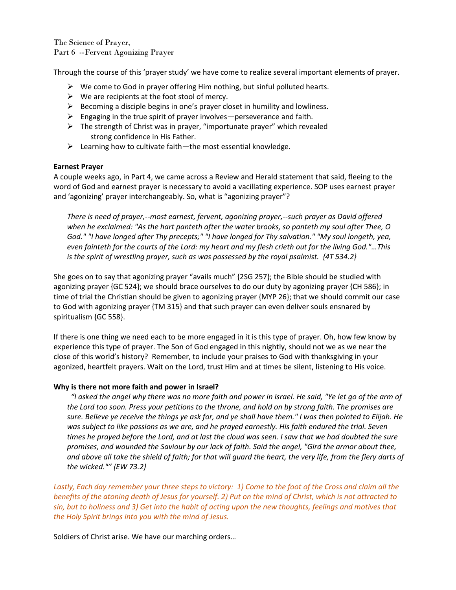The Science of Prayer, Part 6 --Fervent Agonizing Prayer

Through the course of this 'prayer study' we have come to realize several important elements of prayer.

- $\triangleright$  We come to God in prayer offering Him nothing, but sinful polluted hearts.
- $\triangleright$  We are recipients at the foot stool of mercy.
- $\triangleright$  Becoming a disciple begins in one's prayer closet in humility and lowliness.
- $\triangleright$  Engaging in the true spirit of prayer involves—perseverance and faith.
- $\triangleright$  The strength of Christ was in prayer, "importunate prayer" which revealed strong confidence in His Father.
- $\triangleright$  Learning how to cultivate faith—the most essential knowledge.

#### **Earnest Prayer**

A couple weeks ago, in Part 4, we came across a Review and Herald statement that said, fleeing to the word of God and earnest prayer is necessary to avoid a vacillating experience. SOP uses earnest prayer and 'agonizing' prayer interchangeably. So, what is "agonizing prayer"?

*There is need of prayer,--most earnest, fervent, agonizing prayer,--such prayer as David offered when he exclaimed: "As the hart panteth after the water brooks, so panteth my soul after Thee, O God." "I have longed after Thy precepts;" "I have longed for Thy salvation." "My soul longeth, yea, even fainteth for the courts of the Lord: my heart and my flesh crieth out for the living God."…This is the spirit of wrestling prayer, such as was possessed by the royal psalmist. {4T 534.2}* 

She goes on to say that agonizing prayer "avails much" {2SG 257}; the Bible should be studied with agonizing prayer {GC 524}; we should brace ourselves to do our duty by agonizing prayer {CH 586}; in time of trial the Christian should be given to agonizing prayer {MYP 26}; that we should commit our case to God with agonizing prayer {TM 315} and that such prayer can even deliver souls ensnared by spiritualism {GC 558}.

If there is one thing we need each to be more engaged in it is this type of prayer. Oh, how few know by experience this type of prayer. The Son of God engaged in this nightly, should not we as we near the close of this world's history? Remember, to include your praises to God with thanksgiving in your agonized, heartfelt prayers. Wait on the Lord, trust Him and at times be silent, listening to His voice.

#### **Why is there not more faith and power in Israel?**

 *"I asked the angel why there was no more faith and power in Israel. He said, "Ye let go of the arm of the Lord too soon. Press your petitions to the throne, and hold on by strong faith. The promises are sure. Believe ye receive the things ye ask for, and ye shall have them." I was then pointed to Elijah. He was subject to like passions as we are, and he prayed earnestly. His faith endured the trial. Seven times he prayed before the Lord, and at last the cloud was seen. I saw that we had doubted the sure promises, and wounded the Saviour by our lack of faith. Said the angel, "Gird the armor about thee, and above all take the shield of faith; for that will guard the heart, the very life, from the fiery darts of the wicked."" {EW 73.2}*

*Lastly, Each day remember your three steps to victory: 1) Come to the foot of the Cross and claim all the benefits of the atoning death of Jesus for yourself. 2) Put on the mind of Christ, which is not attracted to sin, but to holiness and 3) Get into the habit of acting upon the new thoughts, feelings and motives that the Holy Spirit brings into you with the mind of Jesus.*

Soldiers of Christ arise. We have our marching orders…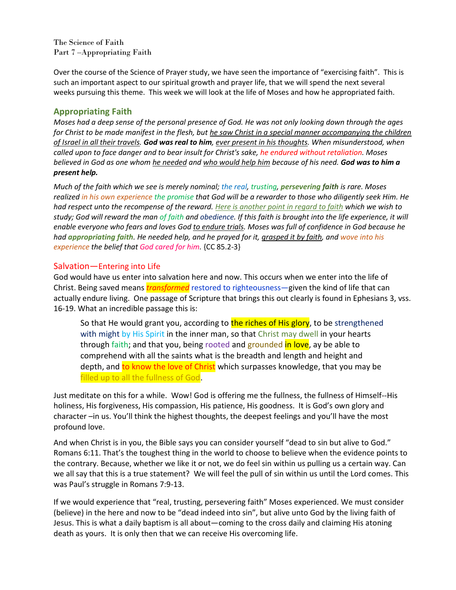The Science of Faith Part 7 –Appropriating Faith

Over the course of the Science of Prayer study, we have seen the importance of "exercising faith". This is such an important aspect to our spiritual growth and prayer life, that we will spend the next several weeks pursuing this theme. This week we will look at the life of Moses and how he appropriated faith.

# **Appropriating Faith**

*Moses had a deep sense of the personal presence of God. He was not only looking down through the ages*  for Christ to be made manifest in the flesh, but he saw Christ in a special manner accompanying the children *of Israel in all their travels. God was real to him, ever present in his thoughts. When misunderstood, when called upon to face danger and to bear insult for Christ's sake, he endured without retaliation. Moses believed in God as one whom he needed and who would help him because of his need. God was to him a present help.* 

*Much of the faith which we see is merely nominal; the real, trusting, persevering faith is rare. Moses realized in his own experience the promise that God will be a rewarder to those who diligently seek Him. He had respect unto the recompense of the reward. Here is another point in regard to faith which we wish to study; God will reward the man of faith and obedience. If this faith is brought into the life experience, it will enable everyone who fears and loves God to endure trials. Moses was full of confidence in God because he had appropriating faith. He needed help, and he prayed for it, grasped it by faith, and wove into his experience the belief that God cared for him.* {CC 85.2-3}

## Salvation—Entering into Life

God would have us enter into salvation here and now. This occurs when we enter into the life of Christ. Being saved means *transformed* restored to righteousness—given the kind of life that can actually endure living. One passage of Scripture that brings this out clearly is found in Ephesians 3, vss. 16-19. What an incredible passage this is:

So that He would grant you, according to the riches of His glory, to be strengthened with might by His Spirit in the inner man, so that Christ may dwell in your hearts through faith; and that you, being rooted and grounded in love, ay be able to comprehend with all the saints what is the breadth and length and height and depth, and to know the love of Christ which surpasses knowledge, that you may be filled up to all the fullness of God.

Just meditate on this for a while. Wow! God is offering me the fullness, the fullness of Himself--His holiness, His forgiveness, His compassion, His patience, His goodness. It is God's own glory and character –in us. You'll think the highest thoughts, the deepest feelings and you'll have the most profound love.

And when Christ is in you, the Bible says you can consider yourself "dead to sin but alive to God." Romans 6:11. That's the toughest thing in the world to choose to believe when the evidence points to the contrary. Because, whether we like it or not, we do feel sin within us pulling us a certain way. Can we all say that this is a true statement? We will feel the pull of sin within us until the Lord comes. This was Paul's struggle in Romans 7:9-13.

If we would experience that "real, trusting, persevering faith" Moses experienced. We must consider (believe) in the here and now to be "dead indeed into sin", but alive unto God by the living faith of Jesus. This is what a daily baptism is all about—coming to the cross daily and claiming His atoning death as yours. It is only then that we can receive His overcoming life.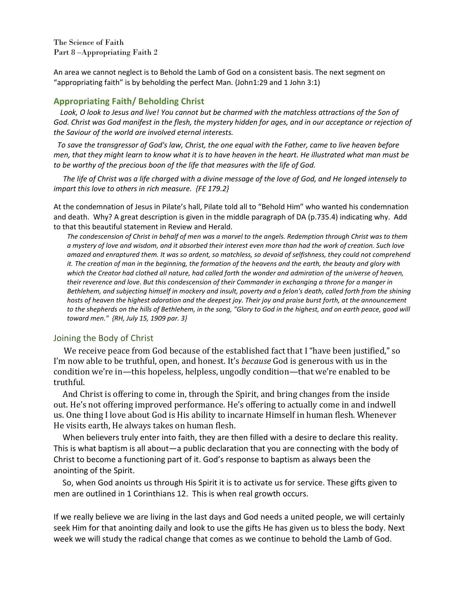The Science of Faith Part 8 –Appropriating Faith 2

An area we cannot neglect is to Behold the Lamb of God on a consistent basis. The next segment on "appropriating faith" is by beholding the perfect Man. {John1:29 and 1 John 3:1)

# **Appropriating Faith/ Beholding Christ**

Look, O look to Jesus and live! You cannot but be charmed with the matchless attractions of the Son of *God. Christ was God manifest in the flesh, the mystery hidden for ages, and in our acceptance or rejection of the Saviour of the world are involved eternal interests.* 

 *To save the transgressor of God's law, Christ, the one equal with the Father, came to live heaven before men, that they might learn to know what it is to have heaven in the heart. He illustrated what man must be to be worthy of the precious boon of the life that measures with the life of God.* 

 *The life of Christ was a life charged with a divine message of the love of God, and He longed intensely to impart this love to others in rich measure. {FE 179.2}* 

At the condemnation of Jesus in Pilate's hall, Pilate told all to "Behold Him" who wanted his condemnation and death. Why? A great description is given in the middle paragraph of DA (p.735.4) indicating why. Add to that this beautiful statement in Review and Herald.

*The condescension of Christ in behalf of men was a marvel to the angels. Redemption through Christ was to them a mystery of love and wisdom, and it absorbed their interest even more than had the work of creation. Such love amazed and enraptured them. It was so ardent, so matchless, so devoid of selfishness, they could not comprehend it. The creation of man in the beginning, the formation of the heavens and the earth, the beauty and glory with*  which the Creator had clothed all nature, had called forth the wonder and admiration of the universe of heaven, *their reverence and love. But this condescension of their Commander in exchanging a throne for a manger in Bethlehem, and subjecting himself in mockery and insult, poverty and a felon's death, called forth from the shining hosts of heaven the highest adoration and the deepest joy. Their joy and praise burst forth, at the announcement*  to the shepherds on the hills of Bethlehem, in the song, "Glory to God in the highest, and on earth peace, good will *toward men." {RH, July 15, 1909 par. 3}* 

## Joining the Body of Christ

We receive peace from God because of the established fact that I "have been justified," so I'm now able to be truthful, open, and honest. It's *because* God is generous with us in the condition we're in—this hopeless, helpless, ungodly condition—that we're enabled to be truthful.

And Christ is offering to come in, through the Spirit, and bring changes from the inside out. He's not offering improved performance. He's offering to actually come in and indwell us. One thing I love about God is His ability to incarnate Himself in human flesh. Whenever He visits earth, He always takes on human flesh.

When believers truly enter into faith, they are then filled with a desire to declare this reality. This is what baptism is all about—a public declaration that you are connecting with the body of Christ to become a functioning part of it. God's response to baptism as always been the anointing of the Spirit.

So, when God anoints us through His Spirit it is to activate us for service. These gifts given to men are outlined in 1 Corinthians 12. This is when real growth occurs.

If we really believe we are living in the last days and God needs a united people, we will certainly seek Him for that anointing daily and look to use the gifts He has given us to bless the body. Next week we will study the radical change that comes as we continue to behold the Lamb of God.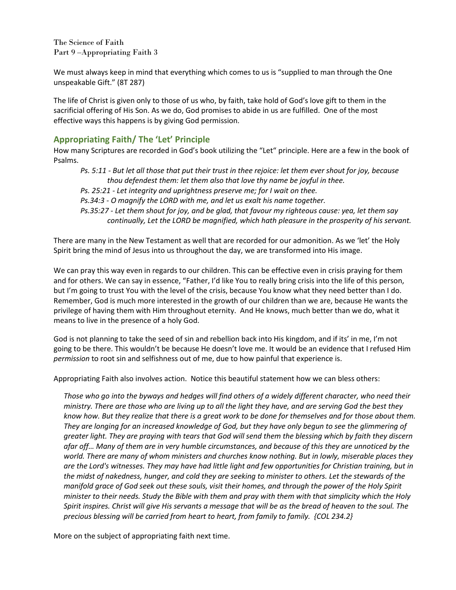The Science of Faith Part 9 –Appropriating Faith 3

We must always keep in mind that everything which comes to us is "supplied to man through the One unspeakable Gift." (8T 287)

The life of Christ is given only to those of us who, by faith, take hold of God's love gift to them in the sacrificial offering of His Son. As we do, God promises to abide in us are fulfilled. One of the most effective ways this happens is by giving God permission.

# **Appropriating Faith/ The 'Let' Principle**

How many Scriptures are recorded in God's book utilizing the "Let" principle. Here are a few in the book of Psalms.

*Ps. 5:11 - But let all those that put their trust in thee rejoice: let them ever shout for joy, because thou defendest them: let them also that love thy name be joyful in thee.* 

*Ps. 25:21 - Let integrity and uprightness preserve me; for I wait on thee.* 

*Ps.34:3 - O magnify the LORD with me, and let us exalt his name together.* 

*Ps.35:27 - Let them shout for joy, and be glad, that favour my righteous cause: yea, let them say continually, Let the LORD be magnified, which hath pleasure in the prosperity of his servant.* 

There are many in the New Testament as well that are recorded for our admonition. As we 'let' the Holy Spirit bring the mind of Jesus into us throughout the day, we are transformed into His image.

We can pray this way even in regards to our children. This can be effective even in crisis praying for them and for others. We can say in essence, "Father, I'd like You to really bring crisis into the life of this person, but I'm going to trust You with the level of the crisis, because You know what they need better than I do. Remember, God is much more interested in the growth of our children than we are, because He wants the privilege of having them with Him throughout eternity. And He knows, much better than we do, what it means to live in the presence of a holy God.

God is not planning to take the seed of sin and rebellion back into His kingdom, and if its' in me, I'm not going to be there. This wouldn't be because He doesn't love me. It would be an evidence that I refused Him *permission* to root sin and selfishness out of me, due to how painful that experience is.

Appropriating Faith also involves action. Notice this beautiful statement how we can bless others:

*Those who go into the byways and hedges will find others of a widely different character, who need their ministry. There are those who are living up to all the light they have, and are serving God the best they know how. But they realize that there is a great work to be done for themselves and for those about them. They are longing for an increased knowledge of God, but they have only begun to see the glimmering of greater light. They are praying with tears that God will send them the blessing which by faith they discern afar off… Many of them are in very humble circumstances, and because of this they are unnoticed by the world. There are many of whom ministers and churches know nothing. But in lowly, miserable places they are the Lord's witnesses. They may have had little light and few opportunities for Christian training, but in the midst of nakedness, hunger, and cold they are seeking to minister to others. Let the stewards of the manifold grace of God seek out these souls, visit their homes, and through the power of the Holy Spirit minister to their needs. Study the Bible with them and pray with them with that simplicity which the Holy Spirit inspires. Christ will give His servants a message that will be as the bread of heaven to the soul. The precious blessing will be carried from heart to heart, from family to family. {COL 234.2}* 

More on the subject of appropriating faith next time.